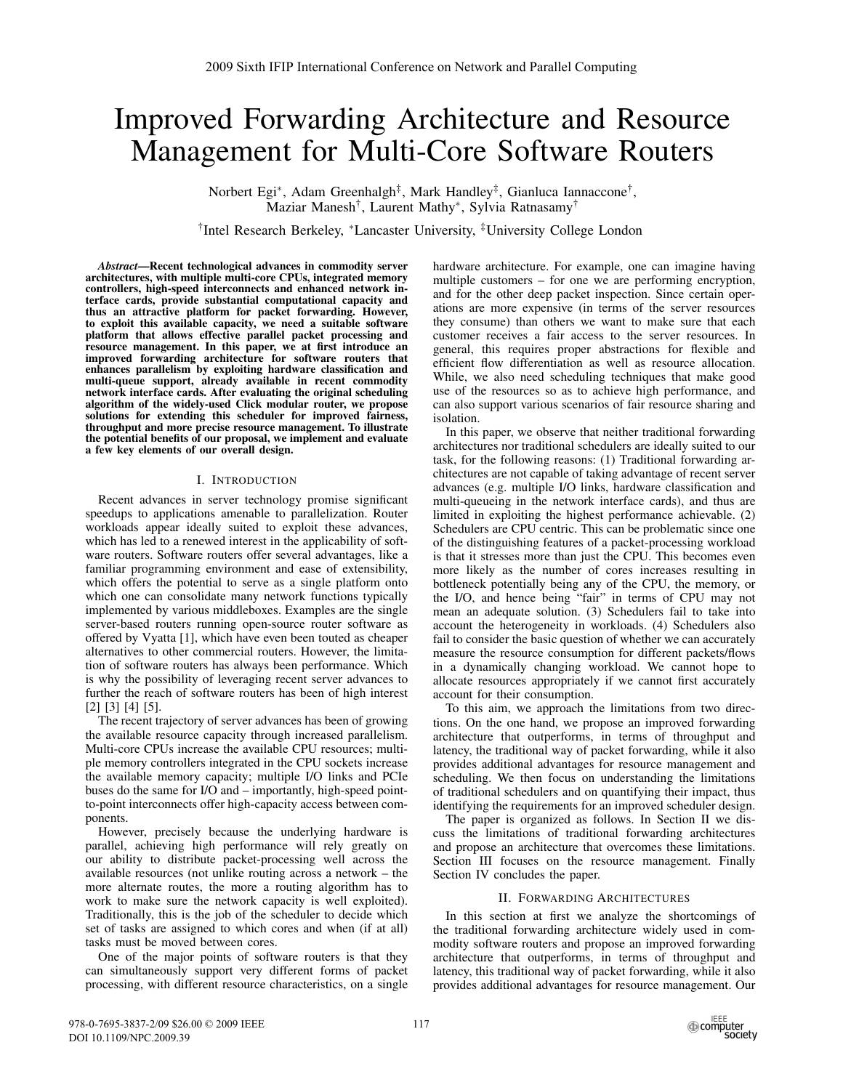# Improved Forwarding Architecture and Resource Management for Multi-Core Software Routers

Norbert Egi∗, Adam Greenhalgh‡, Mark Handley‡, Gianluca Iannaccone†, Maziar Manesh†, Laurent Mathy∗, Sylvia Ratnasamy†

†Intel Research Berkeley, <sup>∗</sup>Lancaster University, ‡University College London

*Abstract*—Recent technological advances in commodity server architectures, with multiple multi-core CPUs, integrated memory controllers, high-speed interconnects and enhanced network interface cards, provide substantial computational capacity and thus an attractive platform for packet forwarding. However, to exploit this available capacity, we need a suitable software platform that allows effective parallel packet processing and resource management. In this paper, we at first introduce an improved forwarding architecture for software routers that enhances parallelism by exploiting hardware classification and multi-queue support, already available in recent commodity network interface cards. After evaluating the original scheduling algorithm of the widely-used Click modular router, we propose solutions for extending this scheduler for improved fairness, throughput and more precise resource management. To illustrate the potential benefits of our proposal, we implement and evaluate a few key elements of our overall design.

#### I. INTRODUCTION

Recent advances in server technology promise significant speedups to applications amenable to parallelization. Router workloads appear ideally suited to exploit these advances, which has led to a renewed interest in the applicability of software routers. Software routers offer several advantages, like a familiar programming environment and ease of extensibility, which offers the potential to serve as a single platform onto which one can consolidate many network functions typically implemented by various middleboxes. Examples are the single server-based routers running open-source router software as offered by Vyatta [1], which have even been touted as cheaper alternatives to other commercial routers. However, the limitation of software routers has always been performance. Which is why the possibility of leveraging recent server advances to further the reach of software routers has been of high interest [2] [3] [4] [5].

The recent trajectory of server advances has been of growing the available resource capacity through increased parallelism. Multi-core CPUs increase the available CPU resources; multiple memory controllers integrated in the CPU sockets increase the available memory capacity; multiple I/O links and PCIe buses do the same for I/O and – importantly, high-speed pointto-point interconnects offer high-capacity access between components.

However, precisely because the underlying hardware is parallel, achieving high performance will rely greatly on our ability to distribute packet-processing well across the available resources (not unlike routing across a network – the more alternate routes, the more a routing algorithm has to work to make sure the network capacity is well exploited). Traditionally, this is the job of the scheduler to decide which set of tasks are assigned to which cores and when (if at all) tasks must be moved between cores.

One of the major points of software routers is that they can simultaneously support very different forms of packet processing, with different resource characteristics, on a single hardware architecture. For example, one can imagine having multiple customers – for one we are performing encryption, and for the other deep packet inspection. Since certain operations are more expensive (in terms of the server resources they consume) than others we want to make sure that each customer receives a fair access to the server resources. In general, this requires proper abstractions for flexible and efficient flow differentiation as well as resource allocation. While, we also need scheduling techniques that make good use of the resources so as to achieve high performance, and can also support various scenarios of fair resource sharing and isolation.

In this paper, we observe that neither traditional forwarding architectures nor traditional schedulers are ideally suited to our task, for the following reasons: (1) Traditional forwarding architectures are not capable of taking advantage of recent server advances (e.g. multiple I/O links, hardware classification and multi-queueing in the network interface cards), and thus are limited in exploiting the highest performance achievable. (2) Schedulers are CPU centric. This can be problematic since one of the distinguishing features of a packet-processing workload is that it stresses more than just the CPU. This becomes even more likely as the number of cores increases resulting in bottleneck potentially being any of the CPU, the memory, or the I/O, and hence being "fair" in terms of CPU may not mean an adequate solution. (3) Schedulers fail to take into account the heterogeneity in workloads. (4) Schedulers also fail to consider the basic question of whether we can accurately measure the resource consumption for different packets/flows in a dynamically changing workload. We cannot hope to allocate resources appropriately if we cannot first accurately account for their consumption.

To this aim, we approach the limitations from two directions. On the one hand, we propose an improved forwarding architecture that outperforms, in terms of throughput and latency, the traditional way of packet forwarding, while it also provides additional advantages for resource management and scheduling. We then focus on understanding the limitations of traditional schedulers and on quantifying their impact, thus identifying the requirements for an improved scheduler design.

The paper is organized as follows. In Section II we discuss the limitations of traditional forwarding architectures and propose an architecture that overcomes these limitations. Section III focuses on the resource management. Finally Section IV concludes the paper.

## II. FORWARDING ARCHITECTURES

In this section at first we analyze the shortcomings of the traditional forwarding architecture widely used in commodity software routers and propose an improved forwarding architecture that outperforms, in terms of throughput and latency, this traditional way of packet forwarding, while it also provides additional advantages for resource management. Our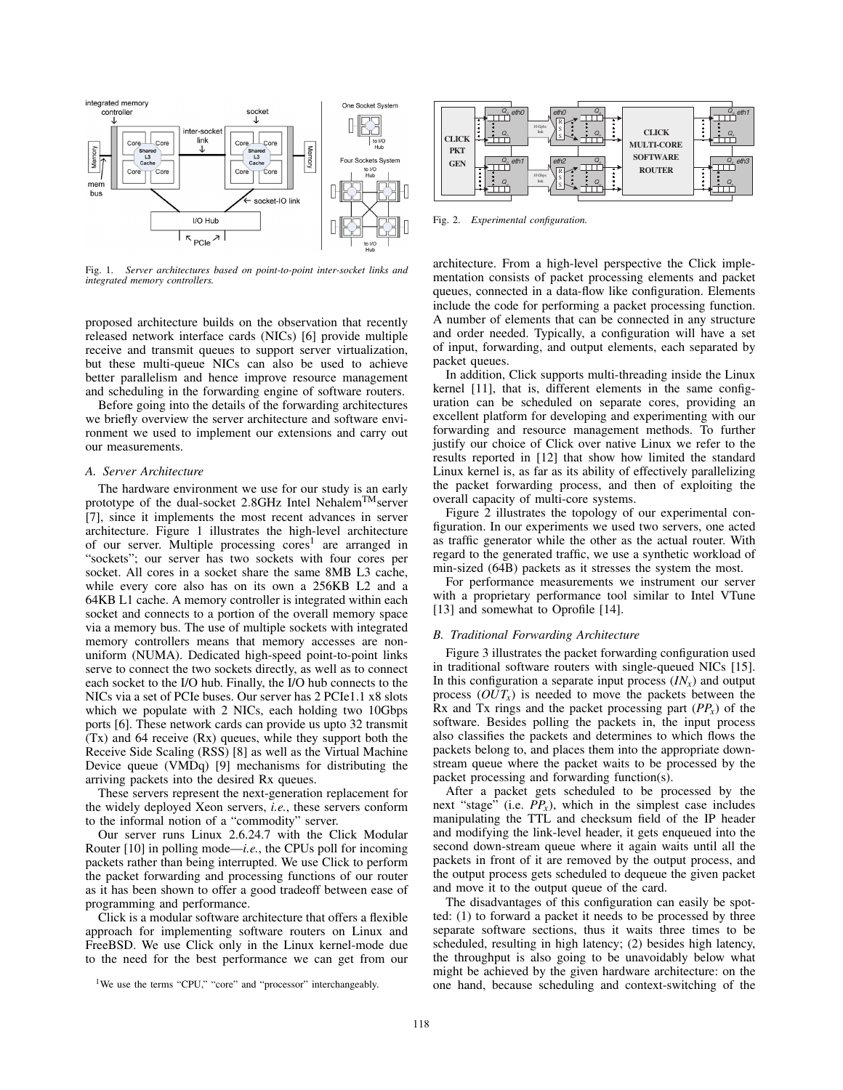

Fig. 1. *Server architectures based on point-to-point inter-socket links and integrated memory controllers.*

proposed architecture builds on the observation that recently released network interface cards (NICs) [6] provide multiple receive and transmit queues to support server virtualization, but these multi-queue NICs can also be used to achieve better parallelism and hence improve resource management and scheduling in the forwarding engine of software routers.

Before going into the details of the forwarding architectures we briefly overview the server architecture and software environment we used to implement our extensions and carry out our measurements.

## *A. Server Architecture*

The hardware environment we use for our study is an early prototype of the dual-socket 2.8GHz Intel Nehalem<sup>TM</sup>server [7], since it implements the most recent advances in server architecture. Figure 1 illustrates the high-level architecture of our server. Multiple processing  $cores<sup>1</sup>$  are arranged in "sockets"; our server has two sockets with four cores per socket. All cores in a socket share the same 8MB L3 cache, while every core also has on its own a 256KB L2 and a 64KB L1 cache. A memory controller is integrated within each socket and connects to a portion of the overall memory space via a memory bus. The use of multiple sockets with integrated memory controllers means that memory accesses are nonuniform (NUMA). Dedicated high-speed point-to-point links serve to connect the two sockets directly, as well as to connect each socket to the I/O hub. Finally, the I/O hub connects to the NICs via a set of PCIe buses. Our server has 2 PCIe1.1 x8 slots which we populate with 2 NICs, each holding two 10Gbps ports [6]. These network cards can provide us upto 32 transmit (Tx) and 64 receive (Rx) queues, while they support both the Receive Side Scaling (RSS) [8] as well as the Virtual Machine Device queue (VMDq) [9] mechanisms for distributing the arriving packets into the desired Rx queues.

These servers represent the next-generation replacement for the widely deployed Xeon servers, *i.e.*, these servers conform to the informal notion of a "commodity" server.

Our server runs Linux 2.6.24.7 with the Click Modular Router [10] in polling mode—*i.e.*, the CPUs poll for incoming packets rather than being interrupted. We use Click to perform the packet forwarding and processing functions of our router as it has been shown to offer a good tradeoff between ease of programming and performance.

Click is a modular software architecture that offers a flexible approach for implementing software routers on Linux and FreeBSD. We use Click only in the Linux kernel-mode due to the need for the best performance we can get from our



Fig. 2. *Experimental configuration.*

architecture. From a high-level perspective the Click implementation consists of packet processing elements and packet queues, connected in a data-flow like configuration. Elements include the code for performing a packet processing function. A number of elements that can be connected in any structure and order needed. Typically, a configuration will have a set of input, forwarding, and output elements, each separated by packet queues.

In addition, Click supports multi-threading inside the Linux kernel [11], that is, different elements in the same configuration can be scheduled on separate cores, providing an excellent platform for developing and experimenting with our forwarding and resource management methods. To further justify our choice of Click over native Linux we refer to the results reported in [12] that show how limited the standard Linux kernel is, as far as its ability of effectively parallelizing the packet forwarding process, and then of exploiting the overall capacity of multi-core systems.

Figure 2 illustrates the topology of our experimental configuration. In our experiments we used two servers, one acted as traffic generator while the other as the actual router. With regard to the generated traffic, we use a synthetic workload of min-sized (64B) packets as it stresses the system the most.

For performance measurements we instrument our server with a proprietary performance tool similar to Intel VTune [13] and somewhat to Oprofile [14].

#### *B. Traditional Forwarding Architecture*

Figure 3 illustrates the packet forwarding configuration used in traditional software routers with single-queued NICs [15]. In this configuration a separate input process  $(1N_x)$  and output process  $(OUT_x)$  is needed to move the packets between the Rx and Tx rings and the packet processing part (*PPx*) of the software. Besides polling the packets in, the input process also classifies the packets and determines to which flows the packets belong to, and places them into the appropriate downstream queue where the packet waits to be processed by the packet processing and forwarding function(s).

After a packet gets scheduled to be processed by the next "stage" (i.e. *PPx*), which in the simplest case includes manipulating the TTL and checksum field of the IP header and modifying the link-level header, it gets enqueued into the second down-stream queue where it again waits until all the packets in front of it are removed by the output process, and the output process gets scheduled to dequeue the given packet and move it to the output queue of the card.

The disadvantages of this configuration can easily be spotted: (1) to forward a packet it needs to be processed by three separate software sections, thus it waits three times to be scheduled, resulting in high latency; (2) besides high latency, the throughput is also going to be unavoidably below what might be achieved by the given hardware architecture: on the one hand, because scheduling and context-switching of the

<sup>&</sup>lt;sup>1</sup>We use the terms "CPU," "core" and "processor" interchangeably.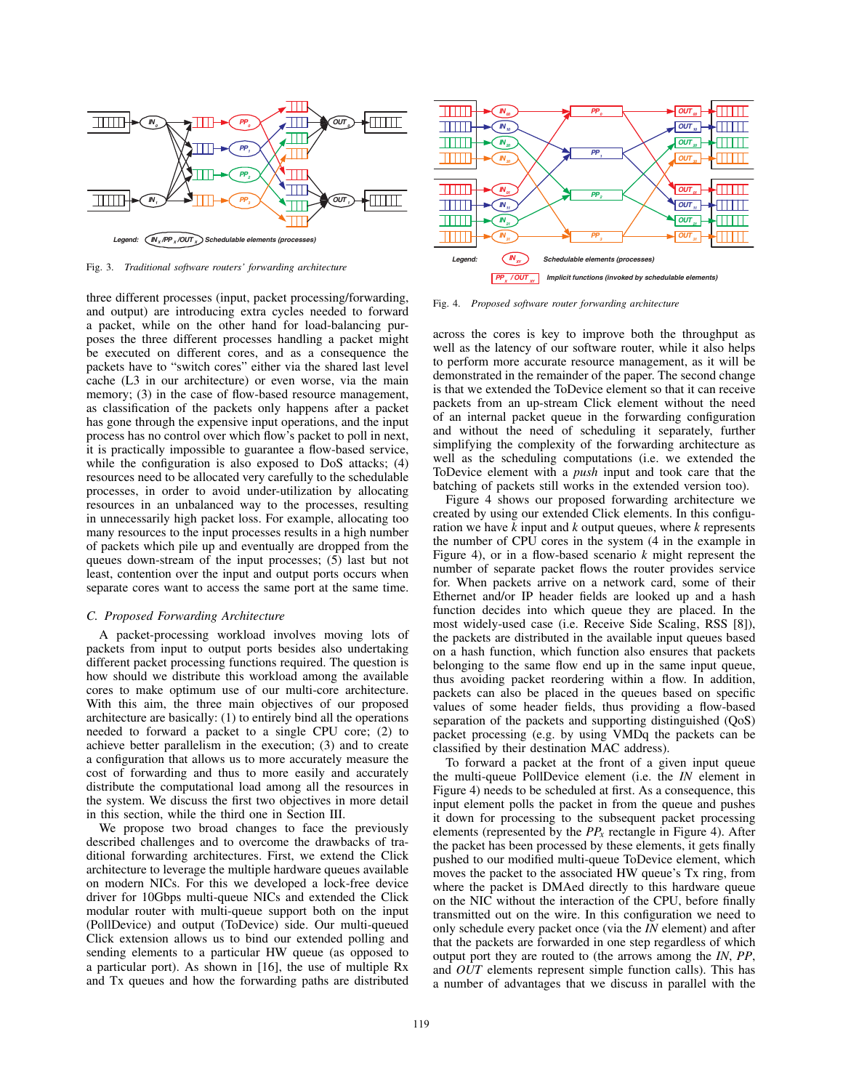

Fig. 3. *Traditional software routers' forwarding architecture*

three different processes (input, packet processing/forwarding, and output) are introducing extra cycles needed to forward a packet, while on the other hand for load-balancing purposes the three different processes handling a packet might be executed on different cores, and as a consequence the packets have to "switch cores" either via the shared last level cache (L3 in our architecture) or even worse, via the main memory; (3) in the case of flow-based resource management, as classification of the packets only happens after a packet has gone through the expensive input operations, and the input process has no control over which flow's packet to poll in next, it is practically impossible to guarantee a flow-based service, while the configuration is also exposed to DoS attacks; (4) resources need to be allocated very carefully to the schedulable processes, in order to avoid under-utilization by allocating resources in an unbalanced way to the processes, resulting in unnecessarily high packet loss. For example, allocating too many resources to the input processes results in a high number of packets which pile up and eventually are dropped from the queues down-stream of the input processes; (5) last but not least, contention over the input and output ports occurs when separate cores want to access the same port at the same time.

#### *C. Proposed Forwarding Architecture*

A packet-processing workload involves moving lots of packets from input to output ports besides also undertaking different packet processing functions required. The question is how should we distribute this workload among the available cores to make optimum use of our multi-core architecture. With this aim, the three main objectives of our proposed architecture are basically: (1) to entirely bind all the operations needed to forward a packet to a single CPU core; (2) to achieve better parallelism in the execution; (3) and to create a configuration that allows us to more accurately measure the cost of forwarding and thus to more easily and accurately distribute the computational load among all the resources in the system. We discuss the first two objectives in more detail in this section, while the third one in Section III.

We propose two broad changes to face the previously described challenges and to overcome the drawbacks of traditional forwarding architectures. First, we extend the Click architecture to leverage the multiple hardware queues available on modern NICs. For this we developed a lock-free device driver for 10Gbps multi-queue NICs and extended the Click modular router with multi-queue support both on the input (PollDevice) and output (ToDevice) side. Our multi-queued Click extension allows us to bind our extended polling and sending elements to a particular HW queue (as opposed to a particular port). As shown in [16], the use of multiple Rx and Tx queues and how the forwarding paths are distributed



Fig. 4. *Proposed software router forwarding architecture*

across the cores is key to improve both the throughput as well as the latency of our software router, while it also helps to perform more accurate resource management, as it will be demonstrated in the remainder of the paper. The second change is that we extended the ToDevice element so that it can receive packets from an up-stream Click element without the need of an internal packet queue in the forwarding configuration and without the need of scheduling it separately, further simplifying the complexity of the forwarding architecture as well as the scheduling computations (i.e. we extended the ToDevice element with a *push* input and took care that the batching of packets still works in the extended version too).

Figure 4 shows our proposed forwarding architecture we created by using our extended Click elements. In this configuration we have *k* input and *k* output queues, where *k* represents the number of CPU cores in the system (4 in the example in Figure 4), or in a flow-based scenario *k* might represent the number of separate packet flows the router provides service for. When packets arrive on a network card, some of their Ethernet and/or IP header fields are looked up and a hash function decides into which queue they are placed. In the most widely-used case (i.e. Receive Side Scaling, RSS [8]), the packets are distributed in the available input queues based on a hash function, which function also ensures that packets belonging to the same flow end up in the same input queue, thus avoiding packet reordering within a flow. In addition, packets can also be placed in the queues based on specific values of some header fields, thus providing a flow-based separation of the packets and supporting distinguished (QoS) packet processing (e.g. by using VMDq the packets can be classified by their destination MAC address).

To forward a packet at the front of a given input queue the multi-queue PollDevice element (i.e. the *IN* element in Figure 4) needs to be scheduled at first. As a consequence, this input element polls the packet in from the queue and pushes it down for processing to the subsequent packet processing elements (represented by the  $PP_x$  rectangle in Figure 4). After the packet has been processed by these elements, it gets finally pushed to our modified multi-queue ToDevice element, which moves the packet to the associated HW queue's Tx ring, from where the packet is DMAed directly to this hardware queue on the NIC without the interaction of the CPU, before finally transmitted out on the wire. In this configuration we need to only schedule every packet once (via the *IN* element) and after that the packets are forwarded in one step regardless of which output port they are routed to (the arrows among the *IN*, *PP*, and *OUT* elements represent simple function calls). This has a number of advantages that we discuss in parallel with the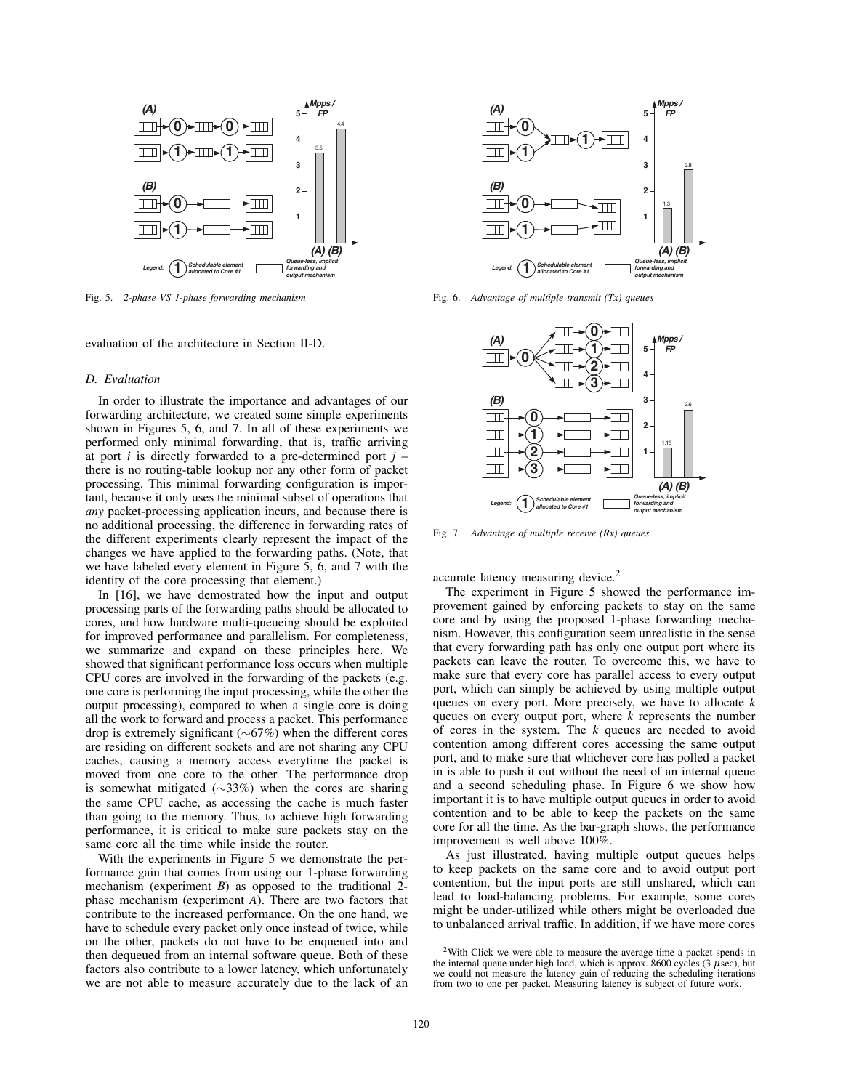

Fig. 5. *2-phase VS 1-phase forwarding mechanism*

evaluation of the architecture in Section II-D.

#### *D. Evaluation*

In order to illustrate the importance and advantages of our forwarding architecture, we created some simple experiments shown in Figures 5, 6, and 7. In all of these experiments we performed only minimal forwarding, that is, traffic arriving at port *i* is directly forwarded to a pre-determined port *j* – there is no routing-table lookup nor any other form of packet processing. This minimal forwarding configuration is important, because it only uses the minimal subset of operations that *any* packet-processing application incurs, and because there is no additional processing, the difference in forwarding rates of the different experiments clearly represent the impact of the changes we have applied to the forwarding paths. (Note, that we have labeled every element in Figure 5, 6, and 7 with the identity of the core processing that element.)

In [16], we have demostrated how the input and output processing parts of the forwarding paths should be allocated to cores, and how hardware multi-queueing should be exploited for improved performance and parallelism. For completeness, we summarize and expand on these principles here. We showed that significant performance loss occurs when multiple CPU cores are involved in the forwarding of the packets (e.g. one core is performing the input processing, while the other the output processing), compared to when a single core is doing all the work to forward and process a packet. This performance drop is extremely significant (∼67%) when the different cores are residing on different sockets and are not sharing any CPU caches, causing a memory access everytime the packet is moved from one core to the other. The performance drop is somewhat mitigated (∼33%) when the cores are sharing the same CPU cache, as accessing the cache is much faster than going to the memory. Thus, to achieve high forwarding performance, it is critical to make sure packets stay on the same core all the time while inside the router.

With the experiments in Figure 5 we demonstrate the performance gain that comes from using our 1-phase forwarding mechanism (experiment *B*) as opposed to the traditional 2phase mechanism (experiment *A*). There are two factors that contribute to the increased performance. On the one hand, we have to schedule every packet only once instead of twice, while on the other, packets do not have to be enqueued into and then dequeued from an internal software queue. Both of these factors also contribute to a lower latency, which unfortunately we are not able to measure accurately due to the lack of an



Fig. 6. *Advantage of multiple transmit (Tx) queues*



Fig. 7. *Advantage of multiple receive (Rx) queues*

accurate latency measuring device.<sup>2</sup>

The experiment in Figure 5 showed the performance improvement gained by enforcing packets to stay on the same core and by using the proposed 1-phase forwarding mechanism. However, this configuration seem unrealistic in the sense that every forwarding path has only one output port where its packets can leave the router. To overcome this, we have to make sure that every core has parallel access to every output port, which can simply be achieved by using multiple output queues on every port. More precisely, we have to allocate *k* queues on every output port, where *k* represents the number of cores in the system. The *k* queues are needed to avoid contention among different cores accessing the same output port, and to make sure that whichever core has polled a packet in is able to push it out without the need of an internal queue and a second scheduling phase. In Figure 6 we show how important it is to have multiple output queues in order to avoid contention and to be able to keep the packets on the same core for all the time. As the bar-graph shows, the performance improvement is well above 100%.

As just illustrated, having multiple output queues helps to keep packets on the same core and to avoid output port contention, but the input ports are still unshared, which can lead to load-balancing problems. For example, some cores might be under-utilized while others might be overloaded due to unbalanced arrival traffic. In addition, if we have more cores

 $2$ With Click we were able to measure the average time a packet spends in the internal queue under high load, which is approx. 8600 cycles (3 μsec), but we could not measure the latency gain of reducing the scheduling iterations from two to one per packet. Measuring latency is subject of future work.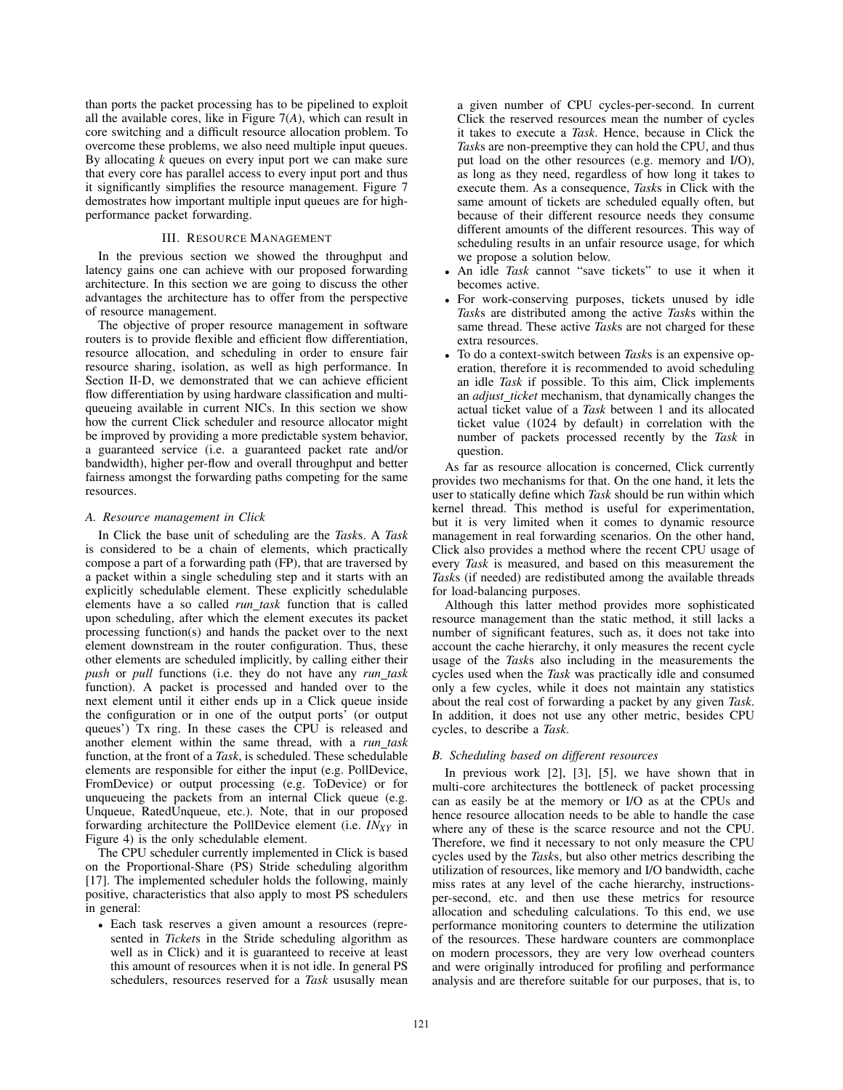than ports the packet processing has to be pipelined to exploit all the available cores, like in Figure 7(*A*), which can result in core switching and a difficult resource allocation problem. To overcome these problems, we also need multiple input queues. By allocating *k* queues on every input port we can make sure that every core has parallel access to every input port and thus it significantly simplifies the resource management. Figure 7 demostrates how important multiple input queues are for highperformance packet forwarding.

## III. RESOURCE MANAGEMENT

In the previous section we showed the throughput and latency gains one can achieve with our proposed forwarding architecture. In this section we are going to discuss the other advantages the architecture has to offer from the perspective of resource management.

The objective of proper resource management in software routers is to provide flexible and efficient flow differentiation, resource allocation, and scheduling in order to ensure fair resource sharing, isolation, as well as high performance. In Section II-D, we demonstrated that we can achieve efficient flow differentiation by using hardware classification and multiqueueing available in current NICs. In this section we show how the current Click scheduler and resource allocator might be improved by providing a more predictable system behavior, a guaranteed service (i.e. a guaranteed packet rate and/or bandwidth), higher per-flow and overall throughput and better fairness amongst the forwarding paths competing for the same resources.

## *A. Resource management in Click*

In Click the base unit of scheduling are the *Task*s. A *Task* is considered to be a chain of elements, which practically compose a part of a forwarding path (FP), that are traversed by a packet within a single scheduling step and it starts with an explicitly schedulable element. These explicitly schedulable elements have a so called *run task* function that is called upon scheduling, after which the element executes its packet processing function(s) and hands the packet over to the next element downstream in the router configuration. Thus, these other elements are scheduled implicitly, by calling either their *push* or *pull* functions (i.e. they do not have any *run task* function). A packet is processed and handed over to the next element until it either ends up in a Click queue inside the configuration or in one of the output ports' (or output queues') Tx ring. In these cases the CPU is released and another element within the same thread, with a *run task* function, at the front of a *Task*, is scheduled. These schedulable elements are responsible for either the input (e.g. PollDevice, FromDevice) or output processing (e.g. ToDevice) or for unqueueing the packets from an internal Click queue (e.g. Unqueue, RatedUnqueue, etc.). Note, that in our proposed forwarding architecture the PollDevice element (i.e. *INXY* in Figure 4) is the only schedulable element.

The CPU scheduler currently implemented in Click is based on the Proportional-Share (PS) Stride scheduling algorithm [17]. The implemented scheduler holds the following, mainly positive, characteristics that also apply to most PS schedulers in general:

• Each task reserves a given amount a resources (represented in *Ticket*s in the Stride scheduling algorithm as well as in Click) and it is guaranteed to receive at least this amount of resources when it is not idle. In general PS schedulers, resources reserved for a *Task* ususally mean

a given number of CPU cycles-per-second. In current Click the reserved resources mean the number of cycles it takes to execute a *Task*. Hence, because in Click the *Task*s are non-preemptive they can hold the CPU, and thus put load on the other resources (e.g. memory and I/O), as long as they need, regardless of how long it takes to execute them. As a consequence, *Task*s in Click with the same amount of tickets are scheduled equally often, but because of their different resource needs they consume different amounts of the different resources. This way of scheduling results in an unfair resource usage, for which we propose a solution below.

- An idle *Task* cannot "save tickets" to use it when it becomes active.
- For work-conserving purposes, tickets unused by idle *Task*s are distributed among the active *Task*s within the same thread. These active *Task*s are not charged for these extra resources.
- To do a context-switch between *Task*s is an expensive operation, therefore it is recommended to avoid scheduling an idle *Task* if possible. To this aim, Click implements an *adjust ticket* mechanism, that dynamically changes the actual ticket value of a *Task* between 1 and its allocated ticket value (1024 by default) in correlation with the number of packets processed recently by the *Task* in question.

As far as resource allocation is concerned, Click currently provides two mechanisms for that. On the one hand, it lets the user to statically define which *Task* should be run within which kernel thread. This method is useful for experimentation, but it is very limited when it comes to dynamic resource management in real forwarding scenarios. On the other hand, Click also provides a method where the recent CPU usage of every *Task* is measured, and based on this measurement the *Task*s (if needed) are redistibuted among the available threads for load-balancing purposes.

Although this latter method provides more sophisticated resource management than the static method, it still lacks a number of significant features, such as, it does not take into account the cache hierarchy, it only measures the recent cycle usage of the *Task*s also including in the measurements the cycles used when the *Task* was practically idle and consumed only a few cycles, while it does not maintain any statistics about the real cost of forwarding a packet by any given *Task*. In addition, it does not use any other metric, besides CPU cycles, to describe a *Task*.

# *B. Scheduling based on different resources*

In previous work [2], [3], [5], we have shown that in multi-core architectures the bottleneck of packet processing can as easily be at the memory or I/O as at the CPUs and hence resource allocation needs to be able to handle the case where any of these is the scarce resource and not the CPU. Therefore, we find it necessary to not only measure the CPU cycles used by the *Task*s, but also other metrics describing the utilization of resources, like memory and I/O bandwidth, cache miss rates at any level of the cache hierarchy, instructionsper-second, etc. and then use these metrics for resource allocation and scheduling calculations. To this end, we use performance monitoring counters to determine the utilization of the resources. These hardware counters are commonplace on modern processors, they are very low overhead counters and were originally introduced for profiling and performance analysis and are therefore suitable for our purposes, that is, to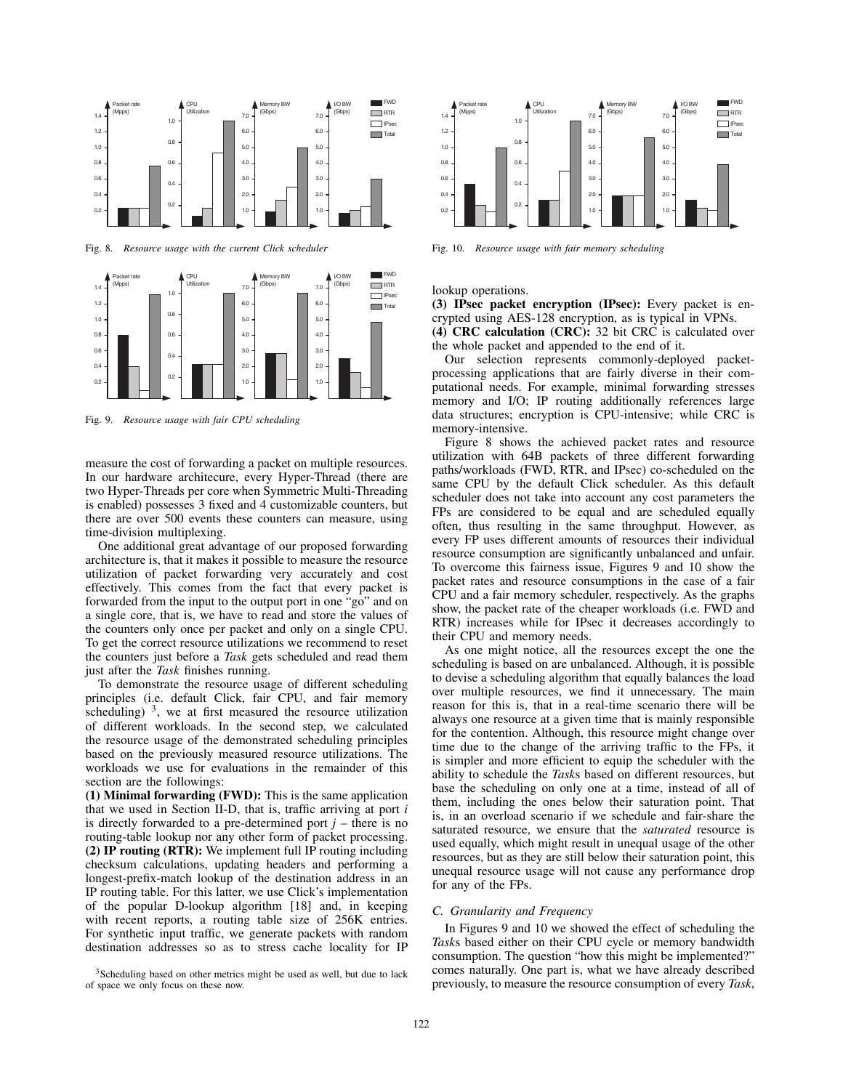

Fig. 8. *Resource usage with the current Click scheduler*



Fig. 9. *Resource usage with fair CPU scheduling*

measure the cost of forwarding a packet on multiple resources. In our hardware architecure, every Hyper-Thread (there are two Hyper-Threads per core when Symmetric Multi-Threading is enabled) possesses 3 fixed and 4 customizable counters, but there are over 500 events these counters can measure, using time-division multiplexing.

One additional great advantage of our proposed forwarding architecture is, that it makes it possible to measure the resource utilization of packet forwarding very accurately and cost effectively. This comes from the fact that every packet is forwarded from the input to the output port in one "go" and on a single core, that is, we have to read and store the values of the counters only once per packet and only on a single CPU. To get the correct resource utilizations we recommend to reset the counters just before a *Task* gets scheduled and read them just after the *Task* finishes running.

To demonstrate the resource usage of different scheduling principles (i.e. default Click, fair CPU, and fair memory scheduling)  $3$ , we at first measured the resource utilization of different workloads. In the second step, we calculated the resource usage of the demonstrated scheduling principles based on the previously measured resource utilizations. The workloads we use for evaluations in the remainder of this section are the followings:

(1) Minimal forwarding (FWD): This is the same application that we used in Section II-D, that is, traffic arriving at port *i* is directly forwarded to a pre-determined port  $j$  – there is no routing-table lookup nor any other form of packet processing. (2) IP routing (RTR): We implement full IP routing including checksum calculations, updating headers and performing a longest-prefix-match lookup of the destination address in an IP routing table. For this latter, we use Click's implementation of the popular D-lookup algorithm [18] and, in keeping with recent reports, a routing table size of 256K entries. For synthetic input traffic, we generate packets with random destination addresses so as to stress cache locality for IP



Fig. 10. *Resource usage with fair memory scheduling*

# lookup operations.

(3) IPsec packet encryption (IPsec): Every packet is encrypted using AES-128 encryption, as is typical in VPNs. (4) CRC calculation (CRC): 32 bit CRC is calculated over the whole packet and appended to the end of it.

Our selection represents commonly-deployed packetprocessing applications that are fairly diverse in their computational needs. For example, minimal forwarding stresses memory and I/O; IP routing additionally references large data structures; encryption is CPU-intensive; while CRC is memory-intensive.

Figure 8 shows the achieved packet rates and resource utilization with 64B packets of three different forwarding paths/workloads (FWD, RTR, and IPsec) co-scheduled on the same CPU by the default Click scheduler. As this default scheduler does not take into account any cost parameters the FPs are considered to be equal and are scheduled equally often, thus resulting in the same throughput. However, as every FP uses different amounts of resources their individual resource consumption are significantly unbalanced and unfair. To overcome this fairness issue, Figures 9 and 10 show the packet rates and resource consumptions in the case of a fair CPU and a fair memory scheduler, respectively. As the graphs show, the packet rate of the cheaper workloads (i.e. FWD and RTR) increases while for IPsec it decreases accordingly to their CPU and memory needs.

As one might notice, all the resources except the one the scheduling is based on are unbalanced. Although, it is possible to devise a scheduling algorithm that equally balances the load over multiple resources, we find it unnecessary. The main reason for this is, that in a real-time scenario there will be always one resource at a given time that is mainly responsible for the contention. Although, this resource might change over time due to the change of the arriving traffic to the FPs, it is simpler and more efficient to equip the scheduler with the ability to schedule the *Task*s based on different resources, but base the scheduling on only one at a time, instead of all of them, including the ones below their saturation point. That is, in an overload scenario if we schedule and fair-share the saturated resource, we ensure that the *saturated* resource is used equally, which might result in unequal usage of the other resources, but as they are still below their saturation point, this unequal resource usage will not cause any performance drop for any of the FPs.

#### *C. Granularity and Frequency*

In Figures 9 and 10 we showed the effect of scheduling the *Task*s based either on their CPU cycle or memory bandwidth consumption. The question "how this might be implemented?" comes naturally. One part is, what we have already described previously, to measure the resource consumption of every *Task*,

<sup>&</sup>lt;sup>3</sup>Scheduling based on other metrics might be used as well, but due to lack of space we only focus on these now.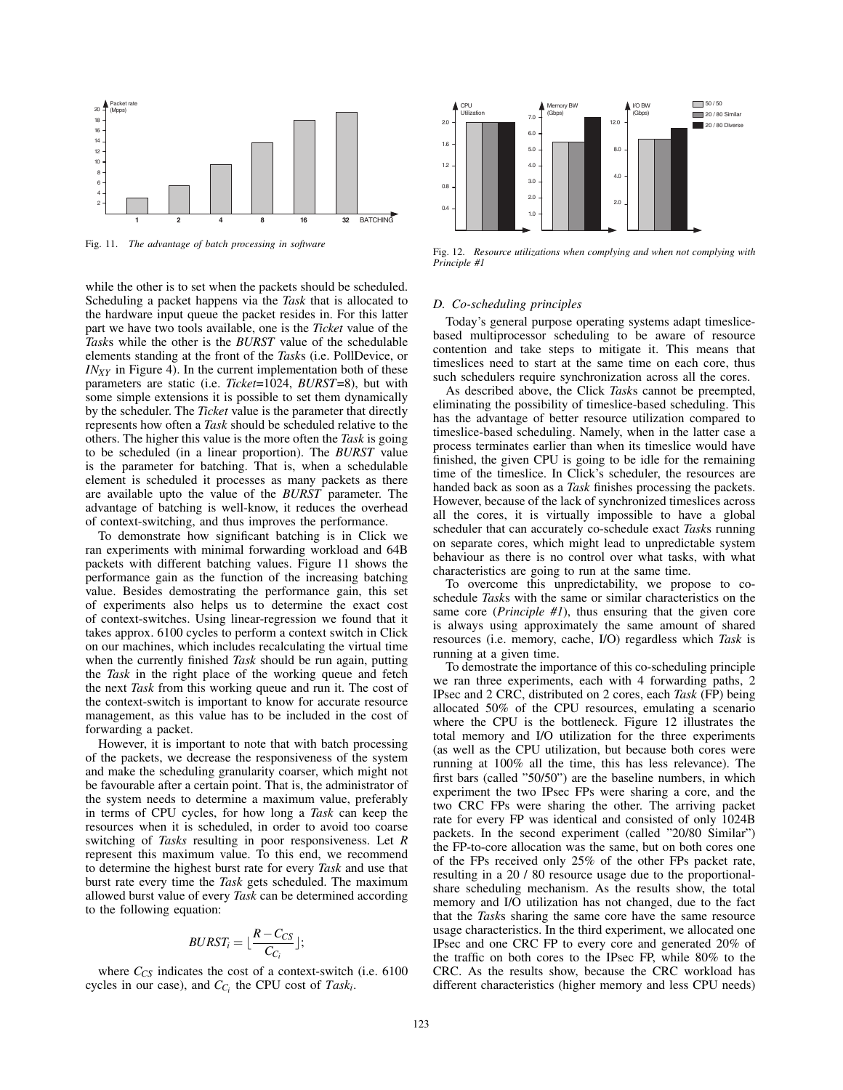

Fig. 11. *The advantage of batch processing in software*

while the other is to set when the packets should be scheduled. Scheduling a packet happens via the *Task* that is allocated to the hardware input queue the packet resides in. For this latter part we have two tools available, one is the *Ticket* value of the *Task*s while the other is the *BURST* value of the schedulable elements standing at the front of the *Task*s (i.e. PollDevice, or *IN<sub>XY</sub>* in Figure 4). In the current implementation both of these parameters are static (i.e. *Ticket*=1024, *BURST*=8), but with some simple extensions it is possible to set them dynamically by the scheduler. The *Ticket* value is the parameter that directly represents how often a *Task* should be scheduled relative to the others. The higher this value is the more often the *Task* is going to be scheduled (in a linear proportion). The *BURST* value is the parameter for batching. That is, when a schedulable element is scheduled it processes as many packets as there are available upto the value of the *BURST* parameter. The advantage of batching is well-know, it reduces the overhead of context-switching, and thus improves the performance.

To demonstrate how significant batching is in Click we ran experiments with minimal forwarding workload and 64B packets with different batching values. Figure 11 shows the performance gain as the function of the increasing batching value. Besides demostrating the performance gain, this set of experiments also helps us to determine the exact cost of context-switches. Using linear-regression we found that it takes approx. 6100 cycles to perform a context switch in Click on our machines, which includes recalculating the virtual time when the currently finished *Task* should be run again, putting the *Task* in the right place of the working queue and fetch the next *Task* from this working queue and run it. The cost of the context-switch is important to know for accurate resource management, as this value has to be included in the cost of forwarding a packet.

However, it is important to note that with batch processing of the packets, we decrease the responsiveness of the system and make the scheduling granularity coarser, which might not be favourable after a certain point. That is, the administrator of the system needs to determine a maximum value, preferably in terms of CPU cycles, for how long a *Task* can keep the resources when it is scheduled, in order to avoid too coarse switching of *Tasks* resulting in poor responsiveness. Let *R* represent this maximum value. To this end, we recommend to determine the highest burst rate for every *Task* and use that burst rate every time the *Task* gets scheduled. The maximum allowed burst value of every *Task* can be determined according to the following equation:

$$
BURST_i = \lfloor \frac{R - C_{CS}}{C_{C_i}} \rfloor;
$$

where *C<sub>CS</sub>* indicates the cost of a context-switch (i.e. 6100 cycles in our case), and *CCi* the CPU cost of *Taski*.



Fig. 12. *Resource utilizations when complying and when not complying with Principle #1*

## *D. Co-scheduling principles*

Today's general purpose operating systems adapt timeslicebased multiprocessor scheduling to be aware of resource contention and take steps to mitigate it. This means that timeslices need to start at the same time on each core, thus such schedulers require synchronization across all the cores.

As described above, the Click *Task*s cannot be preempted, eliminating the possibility of timeslice-based scheduling. This has the advantage of better resource utilization compared to timeslice-based scheduling. Namely, when in the latter case a process terminates earlier than when its timeslice would have finished, the given CPU is going to be idle for the remaining time of the timeslice. In Click's scheduler, the resources are handed back as soon as a *Task* finishes processing the packets. However, because of the lack of synchronized timeslices across all the cores, it is virtually impossible to have a global scheduler that can accurately co-schedule exact *Task*s running on separate cores, which might lead to unpredictable system behaviour as there is no control over what tasks, with what characteristics are going to run at the same time.

To overcome this unpredictability, we propose to coschedule *Task*s with the same or similar characteristics on the same core (*Principle #1*), thus ensuring that the given core is always using approximately the same amount of shared resources (i.e. memory, cache, I/O) regardless which *Task* is running at a given time.

To demostrate the importance of this co-scheduling principle we ran three experiments, each with 4 forwarding paths, 2 IPsec and 2 CRC, distributed on 2 cores, each *Task* (FP) being allocated 50% of the CPU resources, emulating a scenario where the CPU is the bottleneck. Figure 12 illustrates the total memory and I/O utilization for the three experiments (as well as the CPU utilization, but because both cores were running at 100% all the time, this has less relevance). The first bars (called "50/50") are the baseline numbers, in which experiment the two IPsec FPs were sharing a core, and the two CRC FPs were sharing the other. The arriving packet rate for every FP was identical and consisted of only 1024B packets. In the second experiment (called "20/80 Similar") the FP-to-core allocation was the same, but on both cores one of the FPs received only 25% of the other FPs packet rate, resulting in a 20 / 80 resource usage due to the proportionalshare scheduling mechanism. As the results show, the total memory and I/O utilization has not changed, due to the fact that the *Task*s sharing the same core have the same resource usage characteristics. In the third experiment, we allocated one IPsec and one CRC FP to every core and generated 20% of the traffic on both cores to the IPsec FP, while 80% to the CRC. As the results show, because the CRC workload has different characteristics (higher memory and less CPU needs)